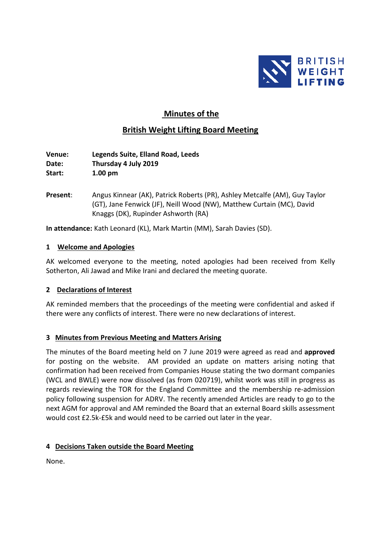

# **Minutes of the**

## **British Weight Lifting Board Meeting**

**Venue: Legends Suite, Elland Road, Leeds Date: Thursday 4 July 2019 Start: 1.00 pm**

**Present**: Angus Kinnear (AK), Patrick Roberts (PR), Ashley Metcalfe (AM), Guy Taylor (GT), Jane Fenwick (JF), Neill Wood (NW), Matthew Curtain (MC), David Knaggs (DK), Rupinder Ashworth (RA)

**In attendance:** Kath Leonard (KL), Mark Martin (MM), Sarah Davies (SD).

#### **1 Welcome and Apologies**

AK welcomed everyone to the meeting, noted apologies had been received from Kelly Sotherton, Ali Jawad and Mike Irani and declared the meeting quorate.

### **2 Declarations of Interest**

AK reminded members that the proceedings of the meeting were confidential and asked if there were any conflicts of interest. There were no new declarations of interest.

### **3 Minutes from Previous Meeting and Matters Arising**

The minutes of the Board meeting held on 7 June 2019 were agreed as read and **approved** for posting on the website. AM provided an update on matters arising noting that confirmation had been received from Companies House stating the two dormant companies (WCL and BWLE) were now dissolved (as from 020719), whilst work was still in progress as regards reviewing the TOR for the England Committee and the membership re-admission policy following suspension for ADRV. The recently amended Articles are ready to go to the next AGM for approval and AM reminded the Board that an external Board skills assessment would cost £2.5k-£5k and would need to be carried out later in the year.

### **4 Decisions Taken outside the Board Meeting**

None.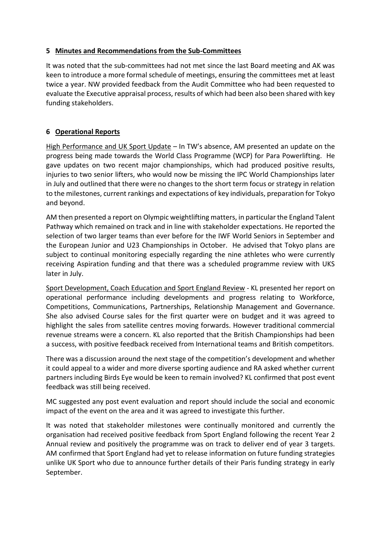### **5 Minutes and Recommendations from the Sub-Committees**

It was noted that the sub-committees had not met since the last Board meeting and AK was keen to introduce a more formal schedule of meetings, ensuring the committees met at least twice a year. NW provided feedback from the Audit Committee who had been requested to evaluate the Executive appraisal process, results of which had been also been shared with key funding stakeholders.

## **6 Operational Reports**

High Performance and UK Sport Update – In TW's absence, AM presented an update on the progress being made towards the World Class Programme (WCP) for Para Powerlifting. He gave updates on two recent major championships, which had produced positive results, injuries to two senior lifters, who would now be missing the IPC World Championships later in July and outlined that there were no changes to the short term focus or strategy in relation to the milestones, current rankings and expectations of key individuals, preparation for Tokyo and beyond.

AM then presented a report on Olympic weightlifting matters, in particular the England Talent Pathway which remained on track and in line with stakeholder expectations. He reported the selection of two larger teams than ever before for the IWF World Seniors in September and the European Junior and U23 Championships in October. He advised that Tokyo plans are subject to continual monitoring especially regarding the nine athletes who were currently receiving Aspiration funding and that there was a scheduled programme review with UKS later in July.

Sport Development, Coach Education and Sport England Review - KL presented her report on operational performance including developments and progress relating to Workforce, Competitions, Communications, Partnerships, Relationship Management and Governance. She also advised Course sales for the first quarter were on budget and it was agreed to highlight the sales from satellite centres moving forwards. However traditional commercial revenue streams were a concern. KL also reported that the British Championships had been a success, with positive feedback received from International teams and British competitors.

There was a discussion around the next stage of the competition's development and whether it could appeal to a wider and more diverse sporting audience and RA asked whether current partners including Birds Eye would be keen to remain involved? KL confirmed that post event feedback was still being received.

MC suggested any post event evaluation and report should include the social and economic impact of the event on the area and it was agreed to investigate this further.

It was noted that stakeholder milestones were continually monitored and currently the organisation had received positive feedback from Sport England following the recent Year 2 Annual review and positively the programme was on track to deliver end of year 3 targets. AM confirmed that Sport England had yet to release information on future funding strategies unlike UK Sport who due to announce further details of their Paris funding strategy in early September.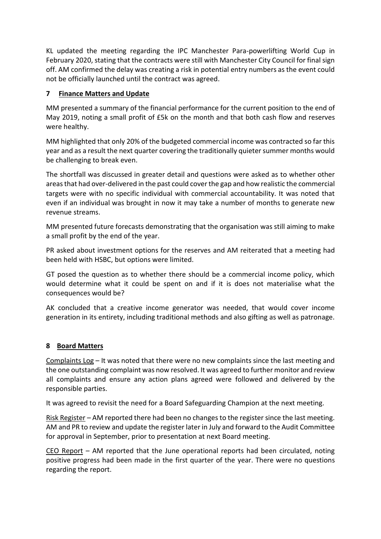KL updated the meeting regarding the IPC Manchester Para-powerlifting World Cup in February 2020, stating that the contracts were still with Manchester City Council for final sign off. AM confirmed the delay was creating a risk in potential entry numbers as the event could not be officially launched until the contract was agreed.

## **7 Finance Matters and Update**

MM presented a summary of the financial performance for the current position to the end of May 2019, noting a small profit of £5k on the month and that both cash flow and reserves were healthy.

MM highlighted that only 20% of the budgeted commercial income was contracted so far this year and as a result the next quarter covering the traditionally quieter summer months would be challenging to break even.

The shortfall was discussed in greater detail and questions were asked as to whether other areas that had over-delivered in the past could cover the gap and how realistic the commercial targets were with no specific individual with commercial accountability. It was noted that even if an individual was brought in now it may take a number of months to generate new revenue streams.

MM presented future forecasts demonstrating that the organisation was still aiming to make a small profit by the end of the year.

PR asked about investment options for the reserves and AM reiterated that a meeting had been held with HSBC, but options were limited.

GT posed the question as to whether there should be a commercial income policy, which would determine what it could be spent on and if it is does not materialise what the consequences would be?

AK concluded that a creative income generator was needed, that would cover income generation in its entirety, including traditional methods and also gifting as well as patronage.

### **8 Board Matters**

Complaints Log – It was noted that there were no new complaints since the last meeting and the one outstanding complaint was now resolved. It was agreed to further monitor and review all complaints and ensure any action plans agreed were followed and delivered by the responsible parties.

It was agreed to revisit the need for a Board Safeguarding Champion at the next meeting.

Risk Register – AM reported there had been no changes to the register since the last meeting. AM and PR to review and update the register later in July and forward to the Audit Committee for approval in September, prior to presentation at next Board meeting.

CEO Report – AM reported that the June operational reports had been circulated, noting positive progress had been made in the first quarter of the year. There were no questions regarding the report.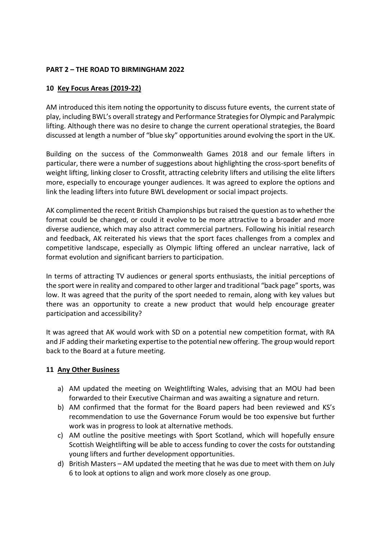### **PART 2 – THE ROAD TO BIRMINGHAM 2022**

### **10 Key Focus Areas (2019-22)**

AM introduced this item noting the opportunity to discuss future events, the current state of play, including BWL's overall strategy and Performance Strategies for Olympic and Paralympic lifting. Although there was no desire to change the current operational strategies, the Board discussed at length a number of "blue sky" opportunities around evolving the sport in the UK.

Building on the success of the Commonwealth Games 2018 and our female lifters in particular, there were a number of suggestions about highlighting the cross-sport benefits of weight lifting, linking closer to Crossfit, attracting celebrity lifters and utilising the elite lifters more, especially to encourage younger audiences. It was agreed to explore the options and link the leading lifters into future BWL development or social impact projects.

AK complimented the recent British Championships but raised the question as to whether the format could be changed, or could it evolve to be more attractive to a broader and more diverse audience, which may also attract commercial partners. Following his initial research and feedback, AK reiterated his views that the sport faces challenges from a complex and competitive landscape, especially as Olympic lifting offered an unclear narrative, lack of format evolution and significant barriers to participation.

In terms of attracting TV audiences or general sports enthusiasts, the initial perceptions of the sport were in reality and compared to other larger and traditional "back page" sports, was low. It was agreed that the purity of the sport needed to remain, along with key values but there was an opportunity to create a new product that would help encourage greater participation and accessibility?

It was agreed that AK would work with SD on a potential new competition format, with RA and JF adding their marketing expertise to the potential new offering. The group would report back to the Board at a future meeting.

#### **11 Any Other Business**

- a) AM updated the meeting on Weightlifting Wales, advising that an MOU had been forwarded to their Executive Chairman and was awaiting a signature and return.
- b) AM confirmed that the format for the Board papers had been reviewed and KS's recommendation to use the Governance Forum would be too expensive but further work was in progress to look at alternative methods.
- c) AM outline the positive meetings with Sport Scotland, which will hopefully ensure Scottish Weightlifting will be able to access funding to cover the costs for outstanding young lifters and further development opportunities.
- d) British Masters AM updated the meeting that he was due to meet with them on July 6 to look at options to align and work more closely as one group.